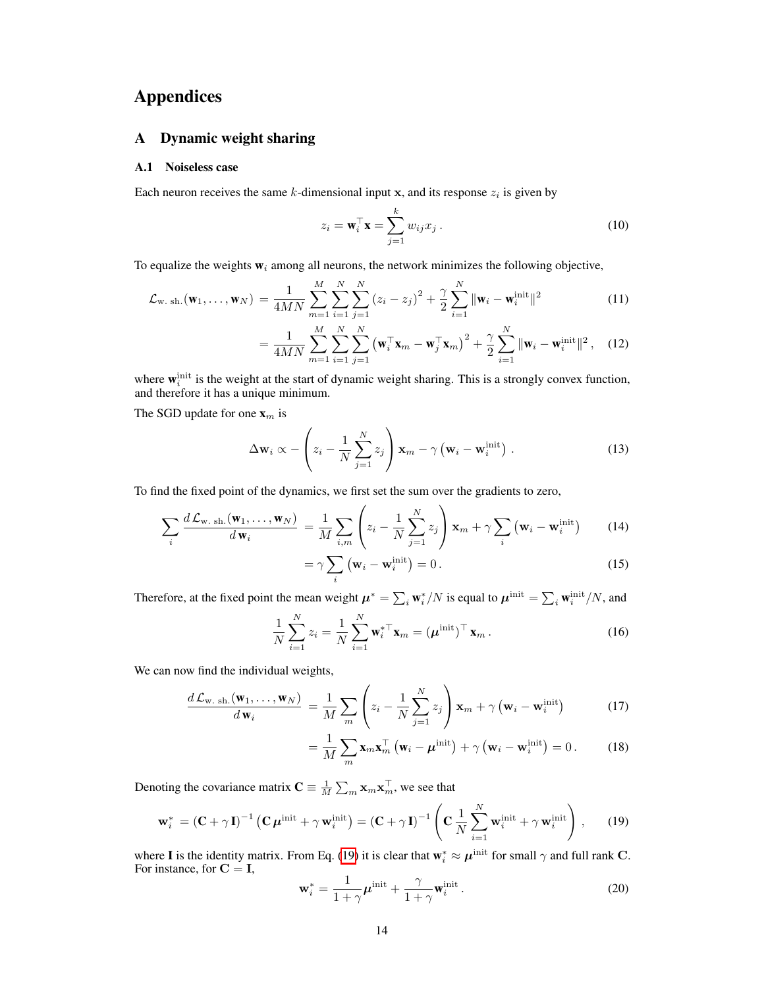# <span id="page-0-7"></span><span id="page-0-3"></span>Appendices

## A Dynamic weight sharing

## A.1 Noiseless case

<span id="page-0-10"></span>Each neuron receives the same *k*-dimensional input x, and its response  $z_i$  is given by

<span id="page-0-2"></span>
$$
z_i = \mathbf{w}_i^{\top} \mathbf{x} = \sum_{j=1}^k w_{ij} x_j.
$$
 (10)

To equalize the weights  $w_i$  among all neurons, the network minimizes the following objective,

$$
\mathcal{L}_{\mathbf{w}. \text{ sh.}}(\mathbf{w}_1, \dots, \mathbf{w}_N) = \frac{1}{4MN} \sum_{m=1}^{M} \sum_{i=1}^{N} \sum_{j=1}^{N} (z_i - z_j)^2 + \frac{\gamma}{2} \sum_{i=1}^{N} ||\mathbf{w}_i - \mathbf{w}_i^{\text{init}}||^2
$$
(11)

$$
= \frac{1}{4MN} \sum_{m=1}^{M} \sum_{i=1}^{N} \sum_{j=1}^{N} \left(\mathbf{w}_i^{\top} \mathbf{x}_m - \mathbf{w}_j^{\top} \mathbf{x}_m\right)^2 + \frac{\gamma}{2} \sum_{i=1}^{N} \|\mathbf{w}_i - \mathbf{w}_i^{\text{init}}\|^2, \quad (12)
$$

where  $\mathbf{w}_i^{\text{init}}$  is the weight at the start of dynamic weight sharing. This is a strongly convex function, and therefore it has a unique minimum.

The SGD update for one x*<sup>m</sup>* is

<span id="page-0-4"></span>
$$
\Delta \mathbf{w}_i \propto -\left(z_i - \frac{1}{N} \sum_{j=1}^N z_j\right) \mathbf{x}_m - \gamma \left(\mathbf{w}_i - \mathbf{w}_i^{\text{init}}\right). \tag{13}
$$

<span id="page-0-11"></span>To find the fixed point of the dynamics, we first set the sum over the gradients to zero,

$$
\sum_{i} \frac{d\mathcal{L}_{\mathbf{w}.sh.}(\mathbf{w}_1, \dots, \mathbf{w}_N)}{d\mathbf{w}_i} = \frac{1}{M} \sum_{i,m} \left( z_i - \frac{1}{N} \sum_{j=1}^N z_j \right) \mathbf{x}_m + \gamma \sum_{i} \left( \mathbf{w}_i - \mathbf{w}_i^{\text{init}} \right) \tag{14}
$$

<span id="page-0-1"></span>
$$
=\gamma\sum_{i}\left(\mathbf{w}_{i}-\mathbf{w}_{i}^{\text{init}}\right)=0.
$$
 (15)

<span id="page-0-6"></span>Therefore, at the fixed point the mean weight  $\mu^* = \sum_i w_i^* / N$  is equal to  $\mu^{\text{init}} = \sum_i w_i^{\text{init}} / N$ , and

$$
\frac{1}{N} \sum_{i=1}^{N} z_i = \frac{1}{N} \sum_{i=1}^{N} \mathbf{w}_i^* \mathbf{x}_m = (\boldsymbol{\mu}^{\text{init}})^{\top} \mathbf{x}_m.
$$
 (16)

We can now find the individual weights,

$$
\frac{d\mathcal{L}_{\mathbf{w. sh.}}(\mathbf{w}_1, \dots, \mathbf{w}_N)}{d\mathbf{w}_i} = \frac{1}{M} \sum_{m} \left( z_i - \frac{1}{N} \sum_{j=1}^{N} z_j \right) \mathbf{x}_m + \gamma \left( \mathbf{w}_i - \mathbf{w}_i^{\text{init}} \right) \tag{17}
$$

<span id="page-0-0"></span>
$$
= \frac{1}{M} \sum_{m} \mathbf{x}_{m} \mathbf{x}_{m}^{\top} (\mathbf{w}_{i} - \boldsymbol{\mu}^{\text{init}}) + \gamma (\mathbf{w}_{i} - \mathbf{w}_{i}^{\text{init}}) = 0.
$$
 (18)

Denoting the covariance matrix  $\mathbf{C} \equiv \frac{1}{M} \sum_m \mathbf{x}_m \mathbf{x}_m^{\top}$ , we see that

<span id="page-0-5"></span>
$$
\mathbf{w}_{i}^{*} = (\mathbf{C} + \gamma \mathbf{I})^{-1} \left( \mathbf{C} \boldsymbol{\mu}^{\text{init}} + \gamma \mathbf{w}_{i}^{\text{init}} \right) = (\mathbf{C} + \gamma \mathbf{I})^{-1} \left( \mathbf{C} \frac{1}{N} \sum_{i=1}^{N} \mathbf{w}_{i}^{\text{init}} + \gamma \mathbf{w}_{i}^{\text{init}} \right), \qquad (19)
$$

<span id="page-0-9"></span>where **I** is the identity matrix. From Eq. [\(19\)](#page-0-0) it is clear that  $\mathbf{w}_i^* \approx \boldsymbol{\mu}^{\text{init}}$  for small  $\gamma$  and full rank C.<br>For instance, for  $\mathbf{C} = \mathbf{I}$ ,

<span id="page-0-8"></span>
$$
\mathbf{w}_{i}^{*} = \frac{1}{1+\gamma} \boldsymbol{\mu}^{\text{init}} + \frac{\gamma}{1+\gamma} \mathbf{w}_{i}^{\text{init}}.
$$
 (20)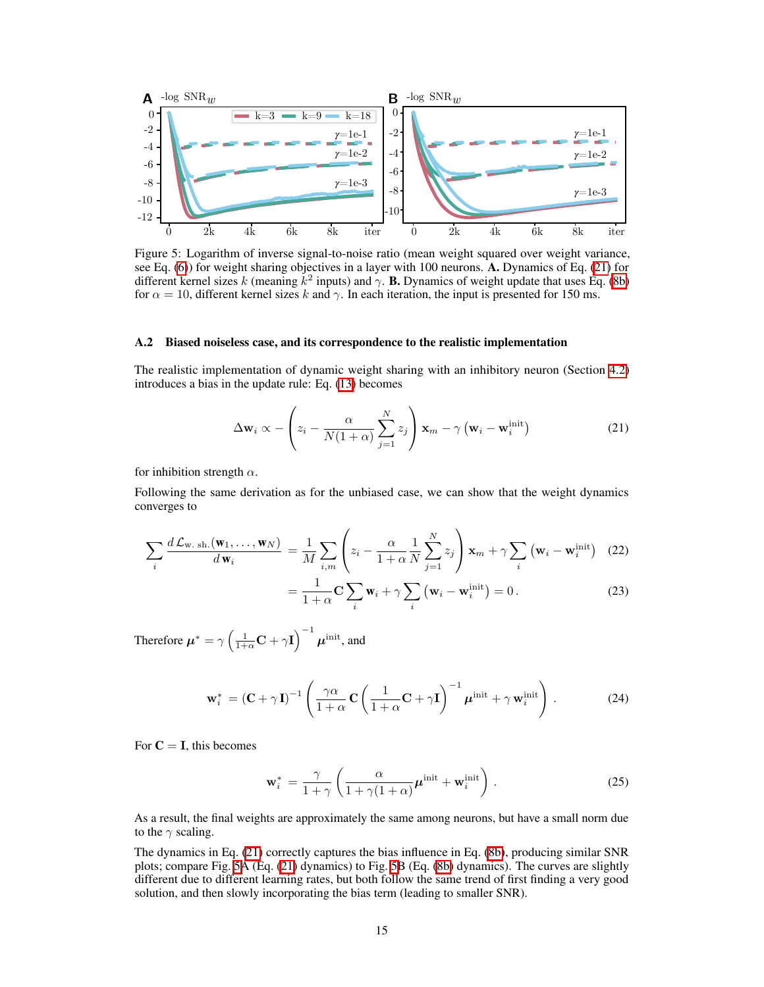<span id="page-1-1"></span>

Figure 5: Logarithm of inverse signal-to-noise ratio (mean weight squared over weight variance, see Eq.  $(6)$ ) for weight sharing objectives in a layer with 100 neurons. A. Dynamics of Eq.  $(21)$  for different kernel sizes *k* (meaning  $k^2$  inputs) and  $\gamma$ . **B.** Dynamics of weight update that uses Eq. [\(8b\)](#page-0-2) for  $\alpha = 10$ , different kernel sizes k and  $\gamma$ . In each iteration, the input is presented for 150 ms.

## A.2 Biased noiseless case, and its correspondence to the realistic implementation

The realistic implementation of dynamic weight sharing with an inhibitory neuron (Section  $\overline{4.2}$ ) introduces a bias in the update rule: Eq.  $(13)$  becomes

<span id="page-1-0"></span>
$$
\Delta \mathbf{w}_i \propto -\left(z_i - \frac{\alpha}{N(1+\alpha)} \sum_{j=1}^N z_j\right) \mathbf{x}_m - \gamma \left(\mathbf{w}_i - \mathbf{w}_i^{\text{init}}\right)
$$
(21)

for inhibition strength  $\alpha$ .

Following the same derivation as for the unbiased case, we can show that the weight dynamics converges to

$$
\sum_{i} \frac{d\mathcal{L}_{\mathbf{w}.\,\mathrm{sh.}}(\mathbf{w}_{1},\ldots,\mathbf{w}_{N})}{d\,\mathbf{w}_{i}} = \frac{1}{M} \sum_{i,m} \left( z_{i} - \frac{\alpha}{1+\alpha} \frac{1}{N} \sum_{j=1}^{N} z_{j} \right) \mathbf{x}_{m} + \gamma \sum_{i} \left( \mathbf{w}_{i} - \mathbf{w}_{i}^{\mathrm{init}} \right) \tag{22}
$$

$$
= \frac{1}{1+\alpha} \mathbf{C} \sum_{i} \mathbf{w}_{i} + \gamma \sum_{i} (\mathbf{w}_{i} - \mathbf{w}_{i}^{\text{init}}) = 0.
$$
 (23)

Therefore  $\boldsymbol{\mu}^* = \gamma \left( \frac{1}{1+\alpha} \mathbf{C} + \gamma \mathbf{I} \right)^{-1} \boldsymbol{\mu}^{\mathrm{init}},$  and

$$
\mathbf{w}_{i}^{*} = \left(\mathbf{C} + \gamma \mathbf{I}\right)^{-1} \left(\frac{\gamma \alpha}{1 + \alpha} \mathbf{C} \left(\frac{1}{1 + \alpha} \mathbf{C} + \gamma \mathbf{I}\right)^{-1} \boldsymbol{\mu}^{\text{init}} + \gamma \mathbf{w}_{i}^{\text{init}}\right). \tag{24}
$$

For  $C = I$ , this becomes

$$
\mathbf{w}_{i}^{*} = \frac{\gamma}{1+\gamma} \left( \frac{\alpha}{1+\gamma(1+\alpha)} \boldsymbol{\mu}^{\text{init}} + \mathbf{w}_{i}^{\text{init}} \right). \tag{25}
$$

As a result, the final weights are approximately the same among neurons, but have a small norm due to the  $\gamma$  scaling.

The dynamics in Eq.  $(21)$  correctly captures the bias influence in Eq.  $(Sb)$ , producing similar SNR plots; compare Fig.  $\overline{S}$ A (Eq.  $\overline{21}$ ) dynamics) to Fig.  $\overline{S}$ B (Eq.  $\overline{8}$ b) dynamics). The curves are slightly different due to different learning rates, but both follow the same trend of first finding a very good solution, and then slowly incorporating the bias term (leading to smaller SNR).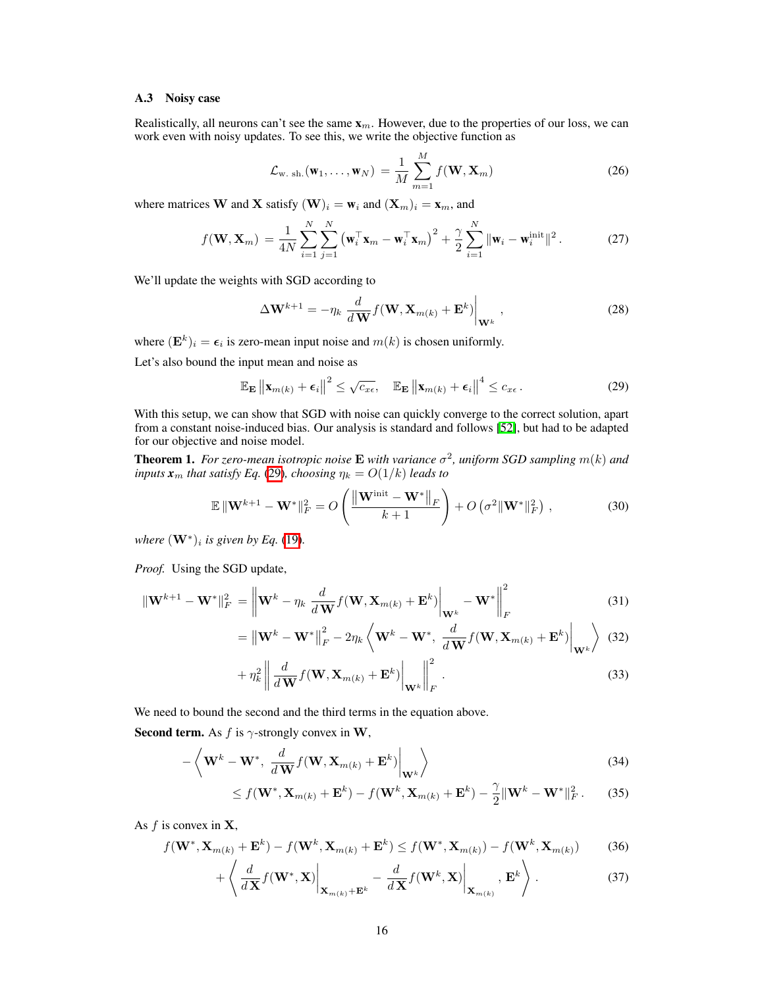## A.3 Noisy case

Realistically, all neurons can't see the same x*m*. However, due to the properties of our loss, we can work even with noisy updates. To see this, we write the objective function as

$$
\mathcal{L}_{\mathbf{w}. \mathrm{sh.}}(\mathbf{w}_1, \dots, \mathbf{w}_N) = \frac{1}{M} \sum_{m=1}^{M} f(\mathbf{W}, \mathbf{X}_m)
$$
(26)

where matrices **W** and **X** satisfy  $(W)_i = w_i$  and  $(X_m)_i = x_m$ , and

$$
f(\mathbf{W}, \mathbf{X}_m) = \frac{1}{4N} \sum_{i=1}^N \sum_{j=1}^N (\mathbf{w}_i^\top \mathbf{x}_m - \mathbf{w}_i^\top \mathbf{x}_m)^2 + \frac{\gamma}{2} \sum_{i=1}^N \|\mathbf{w}_i - \mathbf{w}_i^{\text{init}}\|^2.
$$
 (27)

We'll update the weights with SGD according to

<span id="page-2-0"></span>
$$
\Delta \mathbf{W}^{k+1} = -\eta_k \left. \frac{d}{d\mathbf{W}} f(\mathbf{W}, \mathbf{X}_{m(k)} + \mathbf{E}^k) \right|_{\mathbf{W}^k}, \qquad (28)
$$

where  $(\mathbf{E}^k)_i = \epsilon_i$  is zero-mean input noise and  $m(k)$  is chosen uniformly.

Let's also bound the input mean and noise as

$$
\mathbb{E}_{\mathbf{E}}\left\|\mathbf{x}_{m(k)}+\boldsymbol{\epsilon}_{i}\right\|^{2} \leq \sqrt{c_{x\epsilon}}, \quad \mathbb{E}_{\mathbf{E}}\left\|\mathbf{x}_{m(k)}+\boldsymbol{\epsilon}_{i}\right\|^{4} \leq c_{x\epsilon}.
$$
 (29)

With this setup, we can show that SGD with noise can quickly converge to the correct solution, apart from a constant noise-induced bias. Our analysis is standard and follows [\[52\]](#page-0-5), but had to be adapted for our objective and noise model.

**Theorem 1.** For zero-mean isotropic noise **E** with variance  $\sigma^2$ , uniform SGD sampling  $m(k)$  and *inputs*  $x_m$  *that satisfy Eq.* [\(29\)](#page-2-0)*, choosing*  $\eta_k = O(1/k)$  *leads to* 

$$
\mathbb{E} \left\| \mathbf{W}^{k+1} - \mathbf{W}^* \right\|_F^2 = O\left(\frac{\left\| \mathbf{W}^{\text{init}} - \mathbf{W}^* \right\|_F}{k+1}\right) + O\left(\sigma^2 \|\mathbf{W}^*\|_F^2\right),\tag{30}
$$

*where*  $(\mathbf{W}^*)_i$  *is given by Eq.* [\(19\)](#page-0-0)*.* 

*Proof.* Using the SGD update,

$$
\|\mathbf{W}^{k+1} - \mathbf{W}^*\|_F^2 = \left\|\mathbf{W}^k - \eta_k \frac{d}{d\mathbf{W}} f(\mathbf{W}, \mathbf{X}_{m(k)} + \mathbf{E}^k)\right\|_{\mathbf{W}^k} - \mathbf{W}^*\right\|_F^2
$$
(31)

$$
= \left\| \mathbf{W}^{k} - \mathbf{W}^{*} \right\|_{F}^{2} - 2\eta_{k} \left\langle \mathbf{W}^{k} - \mathbf{W}^{*}, \ \frac{d}{d\mathbf{W}} f(\mathbf{W}, \mathbf{X}_{m(k)} + \mathbf{E}^{k}) \right|_{\mathbf{W}^{k}} \right\rangle \tag{32}
$$

 $\sim$ 

$$
+\eta_k^2 \left\| \frac{d}{d\mathbf{W}} f(\mathbf{W}, \mathbf{X}_{m(k)} + \mathbf{E}^k) \right\|_{\mathbf{W}^k} \left\| \frac{d}{d\mathbf{W}} \right\|_F^2.
$$
 (33)

We need to bound the second and the third terms in the equation above.

**Second term.** As  $f$  is  $\gamma$ -strongly convex in **W**,

$$
-\left\langle \mathbf{W}^{k} - \mathbf{W}^{*}, \frac{d}{d\mathbf{W}} f(\mathbf{W}, \mathbf{X}_{m(k)} + \mathbf{E}^{k}) \Big|_{\mathbf{W}^{k}} \right\rangle \tag{34}
$$

$$
\leq f(\mathbf{W}^*, \mathbf{X}_{m(k)} + \mathbf{E}^k) - f(\mathbf{W}^k, \mathbf{X}_{m(k)} + \mathbf{E}^k) - \frac{\gamma}{2} \|\mathbf{W}^k - \mathbf{W}^*\|_F^2. \tag{35}
$$

As *f* is convex in X,

$$
f(\mathbf{W}^*, \mathbf{X}_{m(k)} + \mathbf{E}^k) - f(\mathbf{W}^k, \mathbf{X}_{m(k)} + \mathbf{E}^k) \le f(\mathbf{W}^*, \mathbf{X}_{m(k)}) - f(\mathbf{W}^k, \mathbf{X}_{m(k)})
$$
(36)

$$
+\left\langle \frac{d}{d\mathbf{X}}f(\mathbf{W}^*,\mathbf{X})\Big|_{\mathbf{X}_{m(k)}+\mathbf{E}^k}-\frac{d}{d\mathbf{X}}f(\mathbf{W}^k,\mathbf{X})\Big|_{\mathbf{X}_{m(k)}},\mathbf{E}^k\right\rangle.
$$
 (37)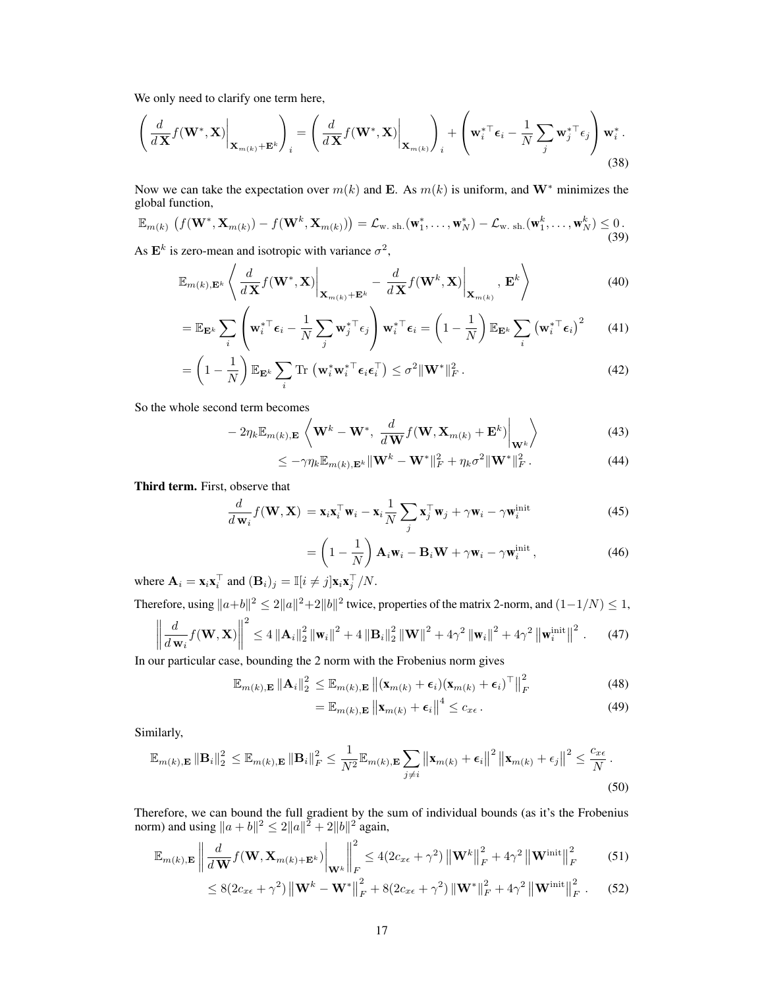We only need to clarify one term here,

$$
\left(\frac{d}{d\mathbf{X}}f(\mathbf{W}^*,\mathbf{X})\bigg|_{\mathbf{X}_{m(k)}+\mathbf{E}^k}\right)_i = \left(\frac{d}{d\mathbf{X}}f(\mathbf{W}^*,\mathbf{X})\bigg|_{\mathbf{X}_{m(k)}}\right)_i + \left(\mathbf{w}_i^{*\top}\boldsymbol{\epsilon}_i - \frac{1}{N}\sum_j \mathbf{w}_j^{*\top}\boldsymbol{\epsilon}_j\right)\mathbf{w}_i^*.
$$
\n(38)

Now we can take the expectation over  $m(k)$  and E. As  $m(k)$  is uniform, and W<sup>\*</sup> minimizes the global function,

$$
\mathbb{E}_{m(k)}\left(f(\mathbf{W}^*, \mathbf{X}_{m(k)}) - f(\mathbf{W}^k, \mathbf{X}_{m(k)})\right) = \mathcal{L}_{\mathbf{w}. \text{ sh.}}(\mathbf{w}_1^*, \dots, \mathbf{w}_N^*) - \mathcal{L}_{\mathbf{w}. \text{ sh.}}(\mathbf{w}_1^k, \dots, \mathbf{w}_N^k) \le 0. \tag{39}
$$

As  $\mathbf{E}^k$  is zero-mean and isotropic with variance  $\sigma^2$ ,

$$
\mathbb{E}_{m(k),\mathbf{E}^k} \left\langle \left. \frac{d}{d\mathbf{X}} f(\mathbf{W}^*, \mathbf{X}) \right|_{\mathbf{X}_{m(k)} + \mathbf{E}^k} - \left. \frac{d}{d\mathbf{X}} f(\mathbf{W}^k, \mathbf{X}) \right|_{\mathbf{X}_{m(k)}}, \mathbf{E}^k \right\rangle \tag{40}
$$

$$
= \mathbb{E}_{\mathbf{E}^k} \sum_{i} \left( \mathbf{w}_i^* \mathbf{F}_{\boldsymbol{\epsilon}_i} - \frac{1}{N} \sum_{j} \mathbf{w}_j^* \mathbf{F}_{\boldsymbol{\epsilon}_j} \right) \mathbf{w}_i^* \mathbf{F}_{\boldsymbol{\epsilon}_i} = \left( 1 - \frac{1}{N} \right) \mathbb{E}_{\mathbf{E}^k} \sum_{i} \left( \mathbf{w}_i^* \mathbf{F}_{\boldsymbol{\epsilon}_i} \right)^2 \tag{41}
$$

$$
= \left(1 - \frac{1}{N}\right) \mathbb{E}_{\mathbf{E}^k} \sum_i \text{Tr}\left(\mathbf{w}_i^* \mathbf{w}_i^{* \top} \boldsymbol{\epsilon}_i \boldsymbol{\epsilon}_i^{\top}\right) \leq \sigma^2 \|\mathbf{W}^*\|_F^2. \tag{42}
$$

So the whole second term becomes

$$
-2\eta_k \mathbb{E}_{m(k),\mathbf{E}}\left\langle \mathbf{W}^k - \mathbf{W}^*, \frac{d}{d\mathbf{W}} f(\mathbf{W}, \mathbf{X}_{m(k)} + \mathbf{E}^k) \Big|_{\mathbf{W}^k} \right\rangle
$$
(43)

$$
\leq -\gamma \eta_k \mathbb{E}_{m(k), \mathbf{E}^k} \|\mathbf{W}^k - \mathbf{W}^*\|_F^2 + \eta_k \sigma^2 \|\mathbf{W}^*\|_F^2. \tag{44}
$$

+

Third term. First, observe that

$$
\frac{d}{d\mathbf{w}_i} f(\mathbf{W}, \mathbf{X}) = \mathbf{x}_i \mathbf{x}_i^{\top} \mathbf{w}_i - \mathbf{x}_i \frac{1}{N} \sum_j \mathbf{x}_j^{\top} \mathbf{w}_j + \gamma \mathbf{w}_i - \gamma \mathbf{w}_i^{\text{init}} \tag{45}
$$

$$
= \left(1 - \frac{1}{N}\right) \mathbf{A}_i \mathbf{w}_i - \mathbf{B}_i \mathbf{W} + \gamma \mathbf{w}_i - \gamma \mathbf{w}_i^{\text{init}}, \tag{46}
$$

where  $\mathbf{A}_i = \mathbf{x}_i \mathbf{x}_i^{\mathsf{T}}$  and  $(\mathbf{B}_i)_j = \mathbb{I}[i \neq j] \mathbf{x}_i \mathbf{x}_j^{\mathsf{T}} / N$ .

Therefore, using  $||a+b||^2 \le 2||a||^2+2||b||^2$  twice, properties of the matrix 2-norm, and  $(1-1/N) \le 1$ ,

$$
\left\| \frac{d}{d\mathbf{w}_i} f(\mathbf{W}, \mathbf{X}) \right\|^2 \le 4 \left\| \mathbf{A}_i \right\|_2^2 \left\| \mathbf{w}_i \right\|^2 + 4 \left\| \mathbf{B}_i \right\|_2^2 \left\| \mathbf{W} \right\|^2 + 4\gamma^2 \left\| \mathbf{w}_i \right\|^2 + 4\gamma^2 \left\| \mathbf{w}_i^{\text{init}} \right\|^2. \tag{47}
$$

In our particular case, bounding the 2 norm with the Frobenius norm gives

$$
\mathbb{E}_{m(k),\mathbf{E}}\left\|\mathbf{A}_{i}\right\|_{2}^{2} \leq \mathbb{E}_{m(k),\mathbf{E}}\left\|\left(\mathbf{x}_{m(k)}+\boldsymbol{\epsilon}_{i}\right)\left(\mathbf{x}_{m(k)}+\boldsymbol{\epsilon}_{i}\right)^{\top}\right\|_{F}^{2}
$$
(48)

$$
= \mathbb{E}_{m(k),\mathbf{E}} \left\| \mathbf{x}_{m(k)} + \boldsymbol{\epsilon}_i \right\|^4 \leq c_{x\epsilon} \,. \tag{49}
$$

Similarly,

$$
\mathbb{E}_{m(k),\mathbf{E}}\left\|\mathbf{B}_{i}\right\|_{2}^{2} \leq \mathbb{E}_{m(k),\mathbf{E}}\left\|\mathbf{B}_{i}\right\|_{F}^{2} \leq \frac{1}{N^{2}}\mathbb{E}_{m(k),\mathbf{E}}\sum_{j\neq i}\left\|\mathbf{x}_{m(k)}+\epsilon_{i}\right\|^{2}\left\|\mathbf{x}_{m(k)}+\epsilon_{j}\right\|^{2} \leq \frac{c_{x\epsilon}}{N}.
$$
\n(50)

Therefore, we can bound the full gradient by the sum of individual bounds (as it's the Frobenius norm) and using  $||a + b||^2 \le 2||a||^2 + 2||b||^2$  again,

$$
\mathbb{E}_{m(k),E} \left\| \frac{d}{d\mathbf{W}} f(\mathbf{W}, \mathbf{X}_{m(k)+\mathbf{E}^k}) \right\|_{\mathbf{W}^k} \left\| \frac{2}{F} \le 4(2c_{x\epsilon} + \gamma^2) \left\| \mathbf{W}^k \right\|_F^2 + 4\gamma^2 \left\| \mathbf{W}^{\text{init}} \right\|_F^2 \tag{51}
$$

$$
\leq 8(2c_{x\epsilon} + \gamma^2) \left\| \mathbf{W}^k - \mathbf{W}^* \right\|_F^2 + 8(2c_{x\epsilon} + \gamma^2) \left\| \mathbf{W}^* \right\|_F^2 + 4\gamma^2 \left\| \mathbf{W}^{\text{init}} \right\|_F^2. \tag{52}
$$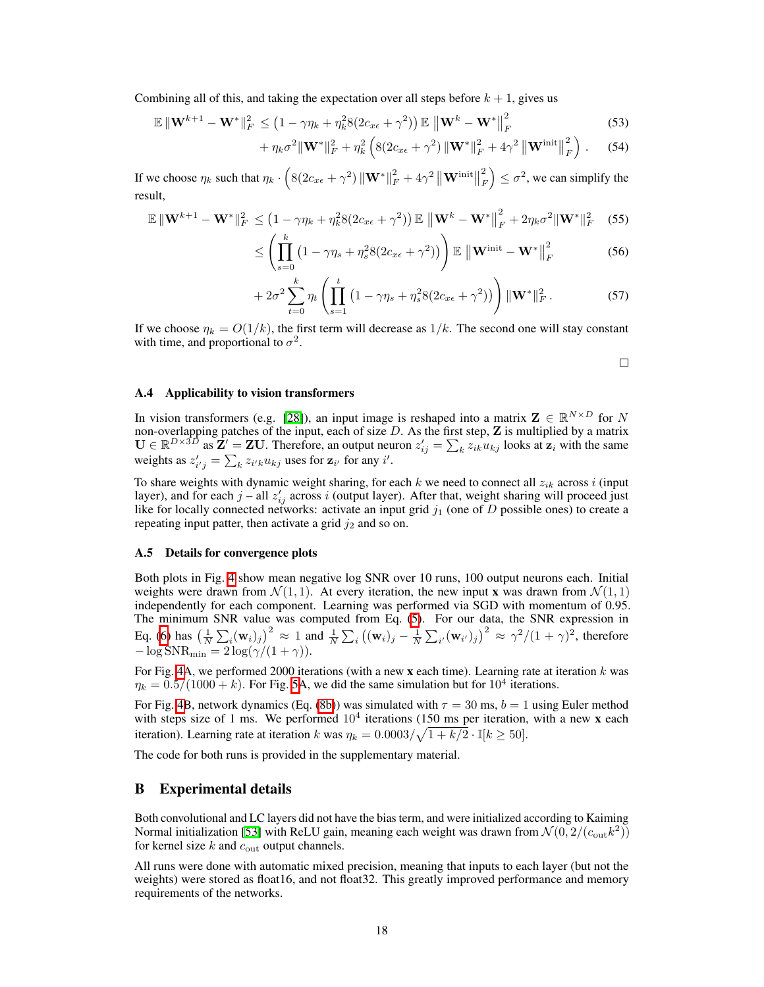Combining all of this, and taking the expectation over all steps before  $k + 1$ , gives us

$$
\mathbb{E} \|\mathbf{W}^{k+1} - \mathbf{W}^*\|_F^2 \le \left(1 - \gamma \eta_k + \eta_k^2 8(2c_{x\epsilon} + \gamma^2)\right) \mathbb{E} \left\|\mathbf{W}^k - \mathbf{W}^*\right\|_F^2
$$
\n(53)

$$
+\eta_k\sigma^2\|\mathbf{W}^*\|_F^2+\eta_k^2\left(8(2c_{x\epsilon}+\gamma^2)\left\|\mathbf{W}^*\right\|_F^2+4\gamma^2\left\|\mathbf{W}^{\text{init}}\right\|_F^2\right).\qquad(54)
$$

If we choose  $\eta_k$  such that  $\eta_k \cdot \left( 8(2c_{x\epsilon} + \gamma^2) \left\| \mathbf{W}^* \right\|_F^2 + 4\gamma^2 \left\| \mathbf{W}^{\text{init}} \right\|_F^2 \right)$ *F*  $\Big) \leq \sigma^2$ , we can simplify the result,

$$
\mathbb{E} \|\mathbf{W}^{k+1} - \mathbf{W}^*\|_F^2 \leq \left(1 - \gamma \eta_k + \eta_k^2 8(2c_{x\epsilon} + \gamma^2)\right) \mathbb{E} \left\|\mathbf{W}^k - \mathbf{W}^*\right\|_F^2 + 2\eta_k \sigma^2 \|\mathbf{W}^*\|_F^2 \tag{55}
$$

$$
\leq \left(\prod_{s=0}^{k} \left(1 - \gamma \eta_s + \eta_s^2 8(2c_{x\epsilon} + \gamma^2)\right)\right) \mathbb{E} \left\|\mathbf{W}^{\text{init}} - \mathbf{W}^*\right\|_F^2 \tag{56}
$$

$$
+ 2\sigma^2 \sum_{t=0}^k \eta_t \left( \prod_{s=1}^t \left( 1 - \gamma \eta_s + \eta_s^2 8(2c_{x\epsilon} + \gamma^2) \right) \right) ||\mathbf{W}^*||_F^2. \tag{57}
$$

If we choose  $\eta_k = O(1/k)$ , the first term will decrease as  $1/k$ . The second one will stay constant with time, and proportional to  $\sigma^2$ .

 $\Box$ 

#### A.4 Applicability to vision transformers

In vision transformers (e.g.  $[28]$ ), an input image is reshaped into a matrix  $\mathbf{Z} \in \mathbb{R}^{N \times D}$  for *N* non-overlapping patches of the input, each of size *D*. As the first step, Z is multiplied by a matrix  $\mathbf{U} \in \mathbb{R}^{D \times 3D}$  as  $\mathbf{Z}' = \mathbf{Z}\mathbf{U}$ . Therefore, an output neuron  $z'_{ij} = \sum_{k} z_{ik} u_{kj}$  looks at  $\mathbf{z}_i$  with the same weights as  $z'_{i'j} = \sum_{k} z_{i'k} u_{kj}$  uses for  $z_{i'}$  for any  $i'$ .

To share weights with dynamic weight sharing, for each *k* we need to connect all  $z_{ik}$  across *i* (input layer), and for each  $j$  – all  $z'_{ij}$  across *i* (output layer). After that, weight sharing will proceed just like for locally connected networks: activate an input grid  $j_1$  (one of  $D$  possible ones) to create a repeating input patter, then activate a grid  $j_2$  and so on.

## A.5 Details for convergence plots

Both plots in Fig.  $\overline{4}$  show mean negative log SNR over 10 runs, 100 output neurons each. Initial weights were drawn from  $\mathcal{N}(1,1)$ . At every iteration, the new input **x** was drawn from  $\mathcal{N}(1,1)$ independently for each component. Learning was performed via SGD with momentum of 0.95. The minimum SNR value was computed from Eq.  $(5)$ . For our data, the SNR expression in Eq. [\(6\)](#page-0-1) has  $\left(\frac{1}{N}\sum_i(\mathbf{w}_i)_j\right)^2 \approx 1$  and  $\frac{1}{N}\sum_i((\mathbf{w}_i)_j-\frac{1}{N}\sum_{i'}(\mathbf{w}_{i'})_j)^2 \approx \gamma^2/(1+\gamma)^2$ , therefore  $-\log \text{SNR}_{\min} = 2 \log(\gamma/(1+\gamma)).$ 

For Fig. [4A](#page-0-7), we performed 2000 iterations (with a new x each time). Learning rate at iteration *k* was  $\eta_k = 0.5/(1000 + k)$ . For Fig. [5A](#page-1-1), we did the same simulation but for  $10^4$  iterations.

For Fig. **4B**, network dynamics (Eq. [\(8b\)](#page-0-2)) was simulated with  $\tau = 30$  ms,  $b = 1$  using Euler method with steps size of 1 ms. We performed  $10<sup>4</sup>$  iterations (150 ms per iteration, with a new x each iteration). Learning rate at iteration *k* was  $\eta_k = 0.0003 / \sqrt{1 + k/2} \cdot \mathbb{I}[k \ge 50]$ .

The code for both runs is provided in the supplementary material.

## B Experimental details

Both convolutional and LC layers did not have the bias term, and were initialized according to Kaiming Normal initialization [\[53\]](#page-0-9) with ReLU gain, meaning each weight was drawn from  $\mathcal{N}(0, 2/(c_{\text{out}}k^2))$ for kernel size *k* and *c*out output channels.

All runs were done with automatic mixed precision, meaning that inputs to each layer (but not the weights) were stored as float16, and not float32. This greatly improved performance and memory requirements of the networks.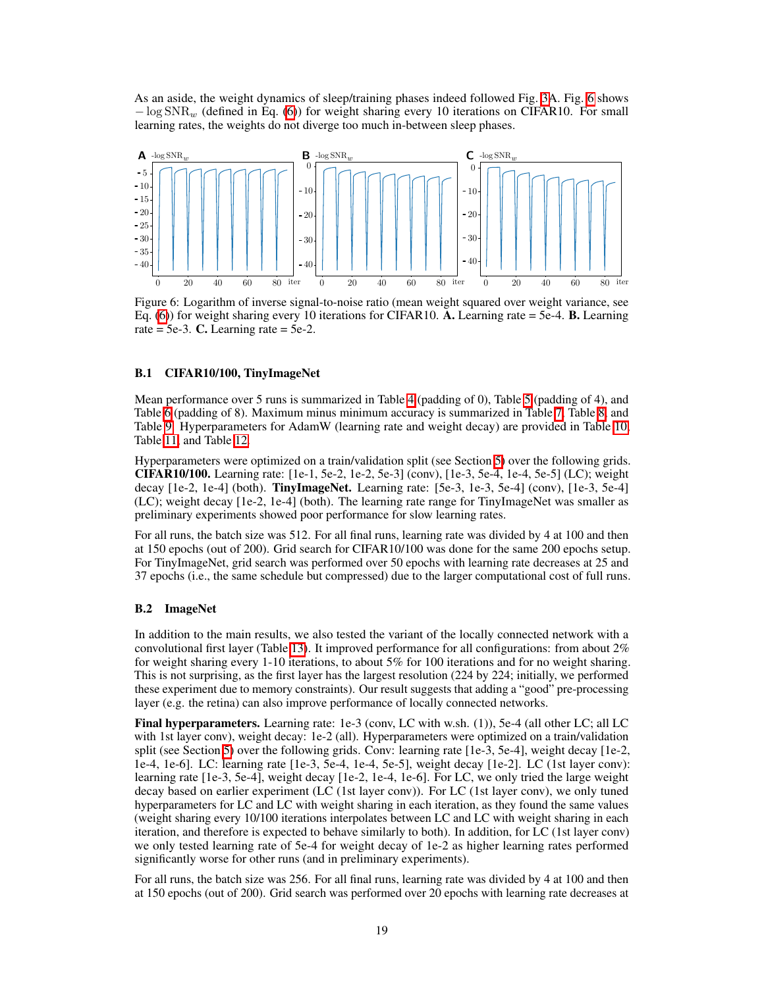As an aside, the weight dynamics of sleep/training phases indeed followed Fig.  $\overline{BA}$ . Fig.  $\overline{6}$  shows  $-\log SNR_{w}$  (defined in Eq. [\(6\)](#page-0-1)) for weight sharing every 10 iterations on CIFAR10. For small learning rates, the weights do not diverge too much in-between sleep phases.

<span id="page-5-0"></span>

Figure 6: Logarithm of inverse signal-to-noise ratio (mean weight squared over weight variance, see Eq.  $(6)$ ) for weight sharing every 10 iterations for CIFAR10. A. Learning rate = 5e-4. **B.** Learning rate  $= 5e-3$ . C. Learning rate  $= 5e-2$ .

## B.1 CIFAR10/100, TinyImageNet

Mean performance over [5](#page-6-1) runs is summarized in Table  $\overline{A}$  (padding of 0), Table  $\overline{S}$  (padding of [4](#page-6-0)), and Table  $\delta$  (padding of 8). Maximum minus minimum accuracy is summarized in Table  $\delta$ , Table  $\delta$ , and Table  $\overline{9}$ . Hyperparameters for AdamW (learning rate and weight decay) are provided in Table  $\overline{10}$ , Table [11,](#page-8-0) and Table [12.](#page-8-1)

Hyperparameters were optimized on a train/validation split (see Section  $\overline{5}$ ) over the following grids. CIFAR10/100. Learning rate: [1e-1, 5e-2, 1e-2, 5e-3] (conv), [1e-3, 5e-4, 1e-4, 5e-5] (LC); weight decay [1e-2, 1e-4] (both). TinyImageNet. Learning rate: [5e-3, 1e-3, 5e-4] (conv), [1e-3, 5e-4] (LC); weight decay [1e-2, 1e-4] (both). The learning rate range for TinyImageNet was smaller as preliminary experiments showed poor performance for slow learning rates.

For all runs, the batch size was 512. For all final runs, learning rate was divided by 4 at 100 and then at 150 epochs (out of 200). Grid search for CIFAR10/100 was done for the same 200 epochs setup. For TinyImageNet, grid search was performed over 50 epochs with learning rate decreases at 25 and 37 epochs (i.e., the same schedule but compressed) due to the larger computational cost of full runs.

## B.2 ImageNet

In addition to the main results, we also tested the variant of the locally connected network with a convolutional first layer (Table [13\)](#page-8-2). It improved performance for all configurations: from about 2% for weight sharing every 1-10 iterations, to about 5% for 100 iterations and for no weight sharing. This is not surprising, as the first layer has the largest resolution (224 by 224; initially, we performed these experiment due to memory constraints). Our result suggests that adding a "good" pre-processing layer (e.g. the retina) can also improve performance of locally connected networks.

Final hyperparameters. Learning rate: 1e-3 (conv, LC with w.sh. (1)), 5e-4 (all other LC; all LC with 1st layer conv), weight decay: 1e-2 (all). Hyperparameters were optimized on a train/validation split (see Section  $\overline{5}$ ) over the following grids. Conv: learning rate [1e-3, 5e-4], weight decay [1e-2, 1e-4, 1e-6]. LC: learning rate [1e-3, 5e-4, 1e-4, 5e-5], weight decay [1e-2]. LC (1st layer conv): learning rate [1e-3, 5e-4], weight decay [1e-2, 1e-4, 1e-6]. For LC, we only tried the large weight decay based on earlier experiment (LC (1st layer conv)). For LC (1st layer conv), we only tuned hyperparameters for LC and LC with weight sharing in each iteration, as they found the same values (weight sharing every 10/100 iterations interpolates between LC and LC with weight sharing in each iteration, and therefore is expected to behave similarly to both). In addition, for LC (1st layer conv) we only tested learning rate of 5e-4 for weight decay of 1e-2 as higher learning rates performed significantly worse for other runs (and in preliminary experiments).

For all runs, the batch size was 256. For all final runs, learning rate was divided by 4 at 100 and then at 150 epochs (out of 200). Grid search was performed over 20 epochs with learning rate decreases at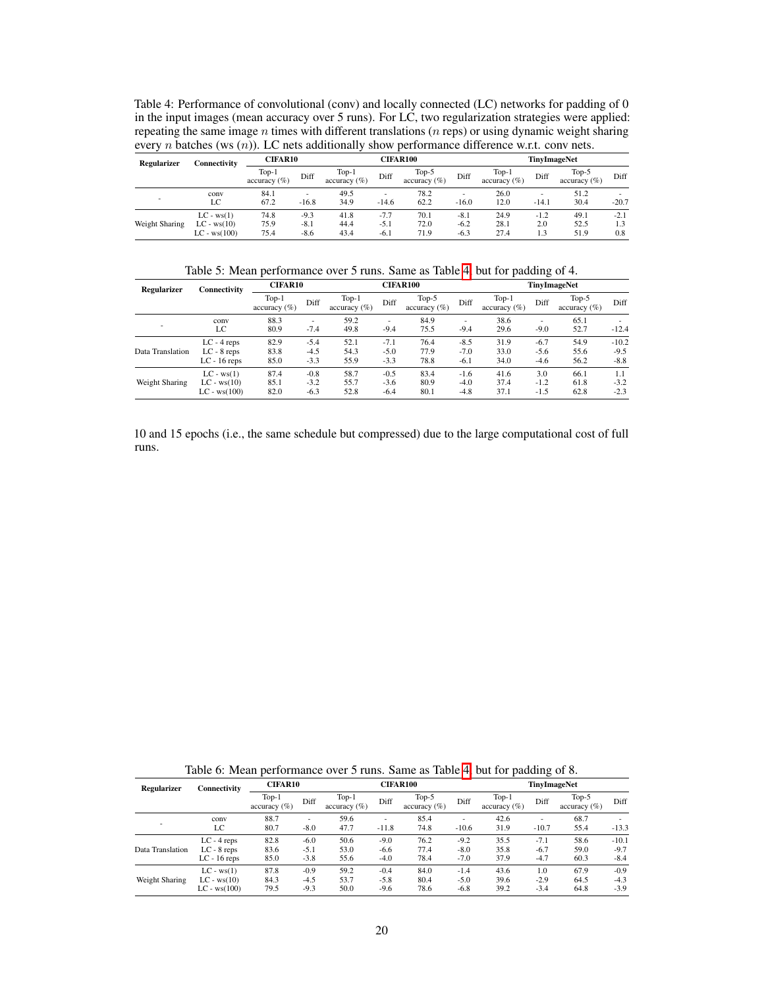<span id="page-6-0"></span>Table 4: Performance of convolutional (conv) and locally connected (LC) networks for padding of 0 in the input images (mean accuracy over 5 runs). For LC, two regularization strategies were applied: repeating the same image *n* times with different translations (*n* reps) or using dynamic weight sharing every *n* batches (ws (*n*)). LC nets additionally show performance difference w.r.t. conv nets.

| Regularizer    | Connectivity                                    | <b>CIFAR10</b>          |                            |                            | <b>CIFAR100</b>            |                          |                            |                            | <b>TinvImageNet</b>  |                            |                      |  |
|----------------|-------------------------------------------------|-------------------------|----------------------------|----------------------------|----------------------------|--------------------------|----------------------------|----------------------------|----------------------|----------------------------|----------------------|--|
|                |                                                 | $Top-1$<br>$\arctan(y)$ | Diff                       | $Top-1$<br>$accuracy (\%)$ | Diff                       | Top-5<br>$accuracy (\%)$ | Diff                       | $Top-1$<br>accuracy $(\%)$ | Diff                 | $Top-5$<br>$accuracy (\%)$ | Diff                 |  |
|                | conv<br>LC                                      | 84.1<br>67.2            | $-16.8$                    | 49.5<br>34.9               | $-14.6$                    | 78.2<br>62.2             | $-16.0$                    | 26.0<br>12.0               | $-14.1$              | 51.2<br>30.4               | $-20.7$              |  |
| Weight Sharing | $LC - ws(1)$<br>$LC - ws(10)$<br>$LC - ws(100)$ | 74.8<br>75.9<br>75.4    | $-9.3$<br>$-8.1$<br>$-8.6$ | 41.8<br>44.4<br>43.4       | $-7.7$<br>$-5.1$<br>$-6.1$ | 70.1<br>72.0<br>71.9     | $-8.1$<br>$-6.2$<br>$-6.3$ | 24.9<br>28.1<br>27.4       | $-1.2$<br>2.0<br>1.3 | 49.1<br>52.5<br>51.9       | $-2.1$<br>1.3<br>0.8 |  |

Table 5: Mean performance over 5 runs. Same as Table  $\frac{1}{4}$ , but for padding of 4.

<span id="page-6-1"></span>

| <b>Regularizer</b> | Connectivity   | <b>CIFAR10</b>             |        | <b>CIFAR100</b>            |        |                             |        | <b>TinyImageNet</b>        |        |                            |         |
|--------------------|----------------|----------------------------|--------|----------------------------|--------|-----------------------------|--------|----------------------------|--------|----------------------------|---------|
|                    |                | $Top-1$<br>$accuracy (\%)$ | Diff   | $Top-1$<br>$accuracy (\%)$ | Diff   | Top- $5$<br>$accuracy (\%)$ | Diff   | $Top-1$<br>$accuracy (\%)$ | Diff   | $Top-5$<br>$accuracy (\%)$ | Diff    |
| ٠                  | conv           | 88.3                       | ۰      | 59.2                       | ٠      | 84.9                        | ۰      | 38.6                       | ۰      | 65.1                       | ۰.      |
|                    | LC             | 80.9                       | $-7.4$ | 49.8                       | $-9.4$ | 75.5                        | $-9.4$ | 29.6                       | $-9.0$ | 52.7                       | $-12.4$ |
|                    | $LC - 4$ reps  | 82.9                       | $-5.4$ | 52.1                       | $-7.1$ | 76.4                        | $-8.5$ | 31.9                       | $-6.7$ | 54.9                       | $-10.2$ |
| Data Translation   | $LC - 8$ reps  | 83.8                       | $-4.5$ | 54.3                       | $-5.0$ | 77.9                        | $-7.0$ | 33.0                       | $-5.6$ | 55.6                       | $-9.5$  |
|                    | $LC - 16$ reps | 85.0                       | $-3.3$ | 55.9                       | $-3.3$ | 78.8                        | $-6.1$ | 34.0                       | $-4.6$ | 56.2                       | $-8.8$  |
|                    | $LC - ws(1)$   | 87.4                       | $-0.8$ | 58.7                       | $-0.5$ | 83.4                        | $-1.6$ | 41.6                       | 3.0    | 66.1                       | 1.1     |
| Weight Sharing     | $LC - ws(10)$  | 85.1                       | $-3.2$ | 55.7                       | $-3.6$ | 80.9                        | $-4.0$ | 37.4                       | $-1.2$ | 61.8                       | $-3.2$  |
|                    | $LC - ws(100)$ | 82.0                       | $-6.3$ | 52.8                       | $-6.4$ | 80.1                        | $-4.8$ | 37.1                       | $-1.5$ | 62.8                       | $-2.3$  |

10 and 15 epochs (i.e., the same schedule but compressed) due to the large computational cost of full runs.

Table 6: Mean performance over 5 runs. Same as Table  $\frac{1}{4}$  but for padding of 8.

<span id="page-6-2"></span>

| . .              |                                                  |                            |                            |                            |                            |                          | . .                        |                            |                            |                            |                             |  |
|------------------|--------------------------------------------------|----------------------------|----------------------------|----------------------------|----------------------------|--------------------------|----------------------------|----------------------------|----------------------------|----------------------------|-----------------------------|--|
| Regularizer      | Connectivity                                     | <b>CIFAR10</b>             |                            |                            | <b>CIFAR100</b>            |                          |                            |                            | TinyImageNet               |                            |                             |  |
|                  |                                                  | $Top-1$<br>$accuracy (\%)$ | Diff                       | $Top-1$<br>$accuracy (\%)$ | Diff                       | Top-5<br>accuracy $(\%)$ | Diff                       | $Top-1$<br>$accuracy (\%)$ | Diff                       | $Top-5$<br>$accuracy (\%)$ | Diff                        |  |
|                  | conv<br>LC                                       | 88.7<br>80.7               | ۰.<br>$-8.0$               | 59.6<br>47.7               | ۰<br>$-11.8$               | 85.4<br>74.8             | ۰<br>$-10.6$               | 42.6<br>31.9               | ۰.<br>$-10.7$              | 68.7<br>55.4               | $-13.3$                     |  |
| Data Translation | $LC - 4$ reps<br>$LC - 8$ reps<br>$LC - 16$ reps | 82.8<br>83.6<br>85.0       | $-6.0$<br>$-5.1$<br>$-3.8$ | 50.6<br>53.0<br>55.6       | $-9.0$<br>$-6.6$<br>$-4.0$ | 76.2<br>77.4<br>78.4     | $-9.2$<br>$-8.0$<br>$-7.0$ | 35.5<br>35.8<br>37.9       | $-7.1$<br>$-6.7$<br>$-4.7$ | 58.6<br>59.0<br>60.3       | $-10.1$<br>$-9.7$<br>$-8.4$ |  |
| Weight Sharing   | $LC - ws(1)$<br>$LC - ws(10)$<br>$LC - ws(100)$  | 87.8<br>84.3<br>79.5       | $-0.9$<br>$-4.5$<br>$-9.3$ | 59.2<br>53.7<br>50.0       | $-0.4$<br>$-5.8$<br>$-9.6$ | 84.0<br>80.4<br>78.6     | $-1.4$<br>$-5.0$<br>$-6.8$ | 43.6<br>39.6<br>39.2       | 1.0<br>$-2.9$<br>$-3.4$    | 67.9<br>64.5<br>64.8       | $-0.9$<br>$-4.3$<br>$-3.9$  |  |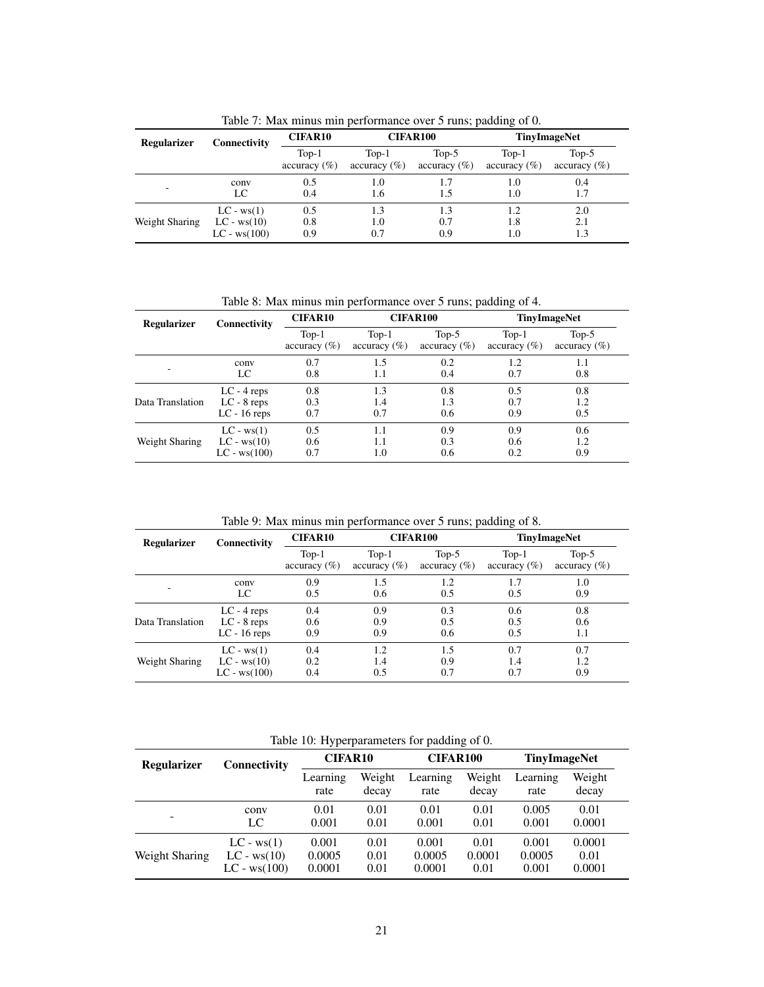<span id="page-7-0"></span>

| raone $\tau$ , max minus min performance over $\tau$ rans, padding or $\sigma$ . |                                                 |                            |                            |                         |                            |                            |  |  |  |  |  |
|----------------------------------------------------------------------------------|-------------------------------------------------|----------------------------|----------------------------|-------------------------|----------------------------|----------------------------|--|--|--|--|--|
| <b>Regularizer</b>                                                               | Connectivity                                    | <b>CIFAR10</b>             |                            | <b>CIFAR100</b>         | <b>TinyImageNet</b>        |                            |  |  |  |  |  |
|                                                                                  |                                                 | $Top-1$<br>$accuracy (\%)$ | $Top-1$<br>$accuracy (\%)$ | $Top-5$<br>$\arctan(y)$ | $Top-1$<br>$\arctan(y(\%)$ | $Top-5$<br>$accuracy (\%)$ |  |  |  |  |  |
| -                                                                                | conv<br>LC                                      | 0.5<br>0.4                 | 1.0<br>1.6                 | 1.5                     | 1.0<br>1.0                 | 0.4<br>1.7                 |  |  |  |  |  |
| Weight Sharing                                                                   | $LC - ws(1)$<br>$LC - ws(10)$<br>$LC - ws(100)$ | 0.5<br>0.8<br>0.9          | 1.3<br>1.0<br>0.7          | 1.3<br>0.7<br>0.9       | 1.2<br>1.8<br>1.0          | 2.0<br>2.1<br>1.3          |  |  |  |  |  |

Table 7: Max minus min performance over 5 runs; padding of 0.

Table 8: Max minus min performance over 5 runs; padding of 4.

<span id="page-7-1"></span>

| <b>Regularizer</b> | Connectivity   | <b>CIFAR10</b>                     |                            | <b>CIFAR100</b>             | <b>TinyImageNet</b>                |                                     |  |
|--------------------|----------------|------------------------------------|----------------------------|-----------------------------|------------------------------------|-------------------------------------|--|
|                    |                | $Top-1$<br>$\alpha$ ccuracy $(\%)$ | $Top-1$<br>$accuracy (\%)$ | $Top-5$<br>$\arccuracy$ (%) | $Top-1$<br>$\alpha$ ccuracy $(\%)$ | Top- $5$<br>$\alpha$ ccuracy $(\%)$ |  |
|                    | conv           | 0.7                                | 1.5                        | 0.2                         | 1.2                                | 1.1                                 |  |
|                    | LC             | 0.8                                | 1.1                        | 0.4                         | 0.7                                | 0.8                                 |  |
| Data Translation   | $LC - 4$ reps  | 0.8                                | 1.3                        | 0.8                         | 0.5                                | 0.8                                 |  |
|                    | $LC - 8$ reps  | 0.3                                | 1.4                        | 1.3                         | 0.7                                | 1.2                                 |  |
|                    | $LC - 16$ reps | 0.7                                | 0.7                        | 0.6                         | 0.9                                | 0.5                                 |  |
| Weight Sharing     | $LC - ws(1)$   | 0.5                                | 1.1                        | 0.9                         | 0.9                                | 0.6                                 |  |
|                    | $LC - ws(10)$  | 0.6                                | 1.1                        | 0.3                         | 0.6                                | 1.2                                 |  |
|                    | $LC - ws(100)$ | 0.7                                | 1.0                        | 0.6                         | 0.2                                | 0.9                                 |  |

Table 9: Max minus min performance over 5 runs; padding of 8.

<span id="page-7-2"></span>

| <b>Regularizer</b> | Connectivity   | <b>CIFAR10</b>             |                                    | <b>CIFAR100</b>           |                         | <b>TinyImageNet</b>         |
|--------------------|----------------|----------------------------|------------------------------------|---------------------------|-------------------------|-----------------------------|
|                    |                | $Top-1$<br>$accuracy (\%)$ | $Top-1$<br>$\alpha$ ccuracy $(\%)$ | Top- $5$<br>$\arctan(\%)$ | $Top-1$<br>$\arctan(y)$ | Top- $5$<br>accuracy $(\%)$ |
|                    | conv           | 0.9                        | 1.5                                | 1.2                       | 1.7                     | 1.0                         |
|                    | LC             | 0.5                        | 0.6                                | 0.5                       | 0.5                     | 0.9                         |
| Data Translation   | $LC - 4$ reps  | 0.4                        | 0.9                                | 0.3                       | 0.6                     | 0.8                         |
|                    | $LC - 8$ reps  | 0.6                        | 0.9                                | 0.5                       | 0.5                     | 0.6                         |
|                    | $LC - 16$ reps | 0.9                        | 0.9                                | 0.6                       | 0.5                     | 1.1                         |
| Weight Sharing     | $LC - ws(1)$   | 0.4                        | 1.2                                | 1.5                       | 0.7                     | 0.7                         |
|                    | $LC - ws(10)$  | 0.2                        | 1.4                                | 0.9                       | 1.4                     | 1.2                         |
|                    | $LC - ws(100)$ | 0.4                        | 0.5                                | 0.7                       | 0.7                     | 0.9                         |

Table 10: Hyperparameters for padding of 0.

<span id="page-7-3"></span>

| raore 10. $\pi$ , per parameters for pacturing or 0. |                                                 |                           |                      |                           |                        |                          |                          |  |  |  |
|------------------------------------------------------|-------------------------------------------------|---------------------------|----------------------|---------------------------|------------------------|--------------------------|--------------------------|--|--|--|
| <b>Regularizer</b>                                   | Connectivity                                    | <b>CIFAR10</b>            |                      | <b>CIFAR100</b>           |                        | <b>TinyImageNet</b>      |                          |  |  |  |
|                                                      |                                                 | Learning<br>rate          | Weight<br>decay      | Learning<br>rate          | Weight<br>decay        | Learning<br>rate         | Weight<br>decay          |  |  |  |
|                                                      | conv<br>LC                                      | 0.01<br>0.001             | 0.01<br>0.01         | 0.01<br>0.001             | 0.01<br>0.01           | 0.005<br>0.001           | 0.01<br>0.0001           |  |  |  |
| Weight Sharing                                       | $LC - ws(1)$<br>$LC - ws(10)$<br>$LC - ws(100)$ | 0.001<br>0.0005<br>0.0001 | 0.01<br>0.01<br>0.01 | 0.001<br>0.0005<br>0.0001 | 0.01<br>0.0001<br>0.01 | 0.001<br>0.0005<br>0.001 | 0.0001<br>0.01<br>0.0001 |  |  |  |